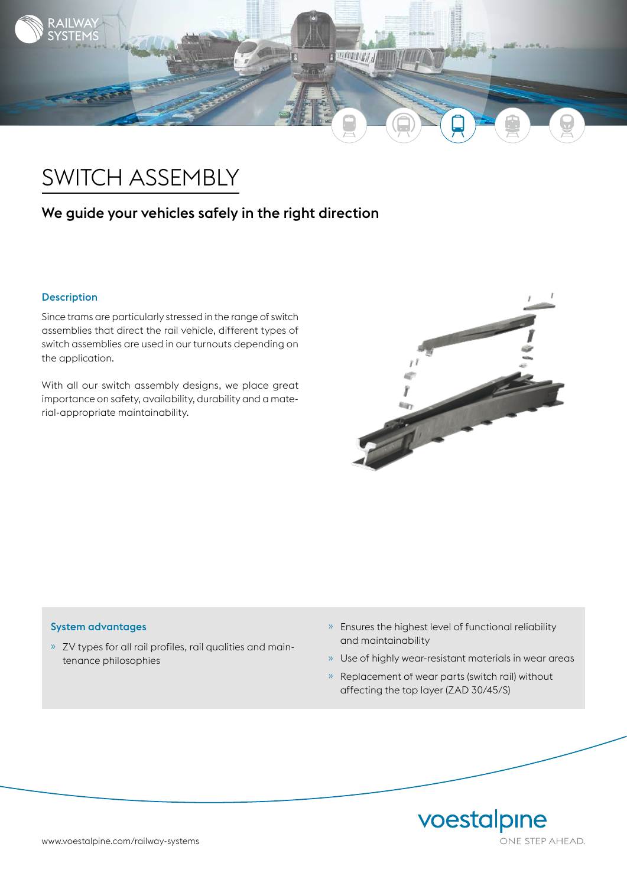

# SWITCH ASSEMBLY

# We guide your vehicles safely in the right direction

## Description

Since trams are particularly stressed in the range of switch assemblies that direct the rail vehicle, different types of switch assemblies are used in our turnouts depending on the application.

With all our switch assembly designs, we place great importance on safety, availability, durability and a material-appropriate maintainability.



### System advantages

- » ZV types for all rail profiles, rail qualities and maintenance philosophies
- » Ensures the highest level of functional reliability and maintainability
- » Use of highly wear-resistant materials in wear areas
- » Replacement of wear parts (switch rail) without affecting the top layer (ZAD 30/45/S)

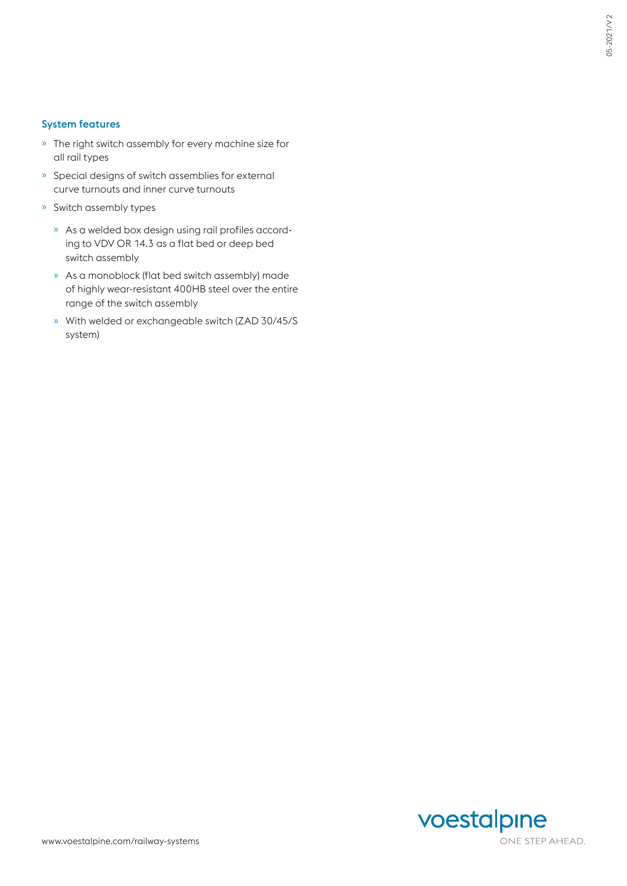## System features

- » The right switch assembly for every machine size for all rail types
- » Special designs of switch assemblies for external curve turnouts and inner curve turnouts
- » Switch assembly types
	- » As a welded box design using rail profiles according to VDV OR 14.3 as a flat bed or deep bed switch assembly
	- » As a monoblock (flat bed switch assembly) made of highly wear-resistant 400HB steel over the entire range of the switch assembly
	- » With welded or exchangeable switch (ZAD 30/45/S system)

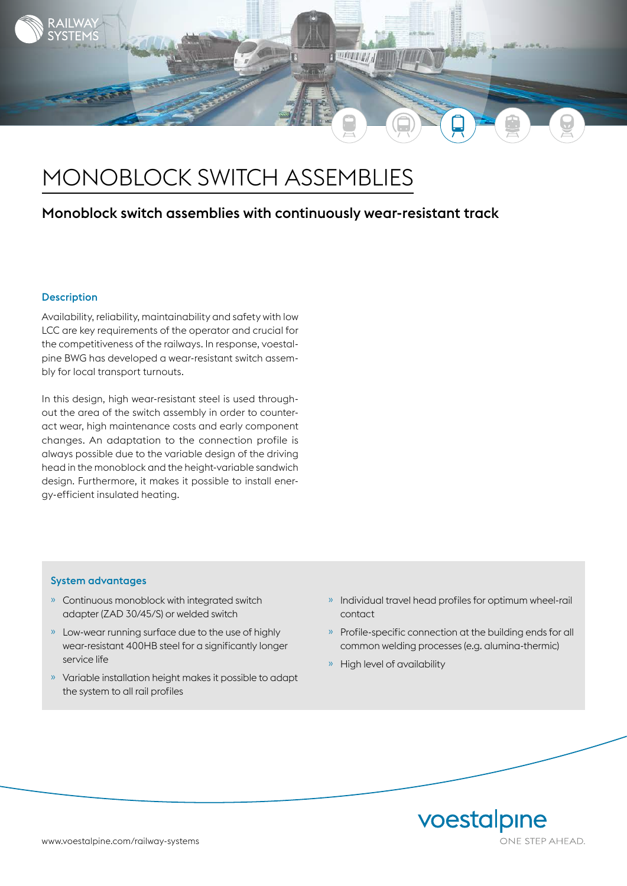

# MONOBLOCK SWITCH ASSEMBLIES

# Monoblock switch assemblies with continuously wear-resistant track

#### **Description**

Availability, reliability, maintainability and safety with low LCC are key requirements of the operator and crucial for the competitiveness of the railways. In response, voestalpine BWG has developed a wear-resistant switch assembly for local transport turnouts.

In this design, high wear-resistant steel is used throughout the area of the switch assembly in order to counteract wear, high maintenance costs and early component changes. An adaptation to the connection profile is always possible due to the variable design of the driving head in the monoblock and the height-variable sandwich design. Furthermore, it makes it possible to install energy-efficient insulated heating.

#### System advantages

- » Continuous monoblock with integrated switch adapter (ZAD 30/45/S) or welded switch
- » Low-wear running surface due to the use of highly wear-resistant 400HB steel for a significantly longer service life
- » Variable installation height makes it possible to adapt the system to all rail profiles
- » Individual travel head profiles for optimum wheel-rail contact
- » Profile-specific connection at the building ends for all common welding processes (e.g. alumina-thermic)
- » High level of availability

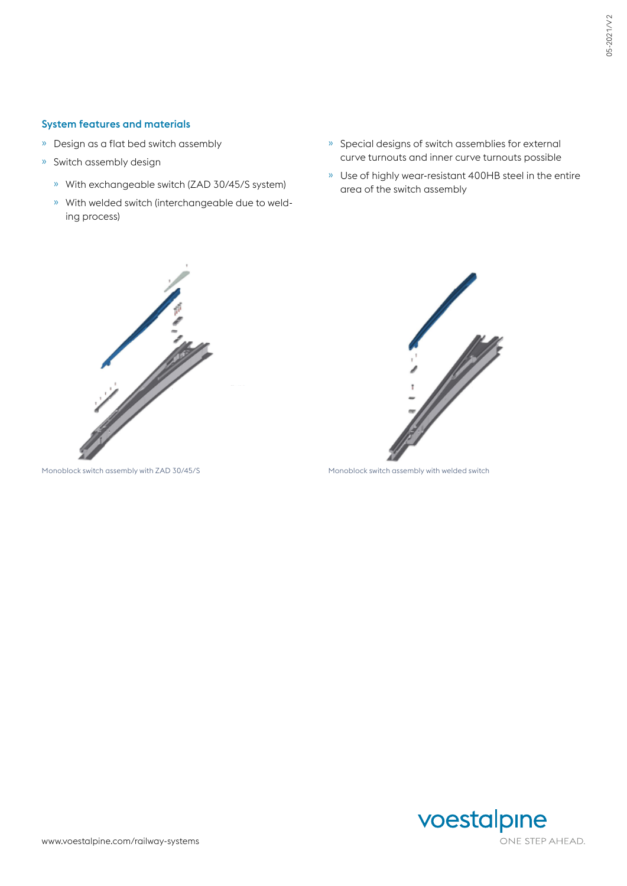### System features and materials

- » Design as a flat bed switch assembly
- » Switch assembly design
	- » With exchangeable switch (ZAD 30/45/S system)
	- » With welded switch (interchangeable due to welding process)
- » Special designs of switch assemblies for external curve turnouts and inner curve turnouts possible
- » Use of highly wear-resistant 400HB steel in the entire area of the switch assembly





Monoblock switch assembly with ZAD 30/45/S Monoblock switch assembly with welded switch

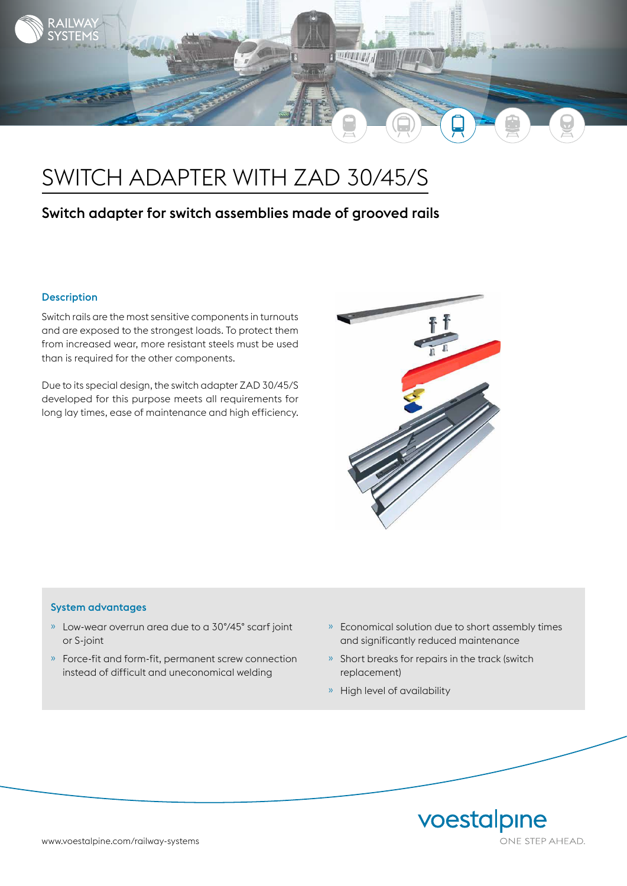

# SWITCH ADAPTER WITH ZAD 30/45/S

# Switch adapter for switch assemblies made of grooved rails

## Description

Switch rails are the most sensitive components in turnouts and are exposed to the strongest loads. To protect them from increased wear, more resistant steels must be used than is required for the other components.

Due to its special design, the switch adapter ZAD 30/45/S developed for this purpose meets all requirements for long lay times, ease of maintenance and high efficiency.



#### System advantages

- » Low-wear overrun area due to a 30°/45° scarf joint or S-joint
- » Force-fit and form-fit, permanent screw connection instead of difficult and uneconomical welding
- » Economical solution due to short assembly times and significantly reduced maintenance
- » Short breaks for repairs in the track (switch replacement)
- » High level of availability